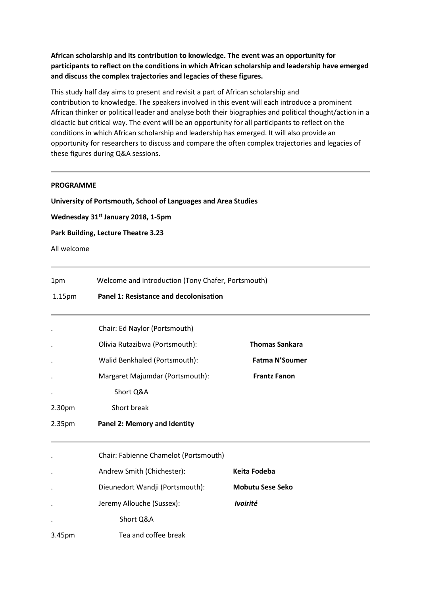**African scholarship and its contribution to knowledge. The event was an opportunity for participants to reflect on the conditions in which African scholarship and leadership have emerged and discuss the complex trajectories and legacies of these figures.**

This study half day aims to present and revisit a part of African scholarship and contribution to knowledge. The speakers involved in this event will each introduce a prominent African thinker or political leader and analyse both their biographies and political thought/action in a didactic but critical way. The event will be an opportunity for all participants to reflect on the conditions in which African scholarship and leadership has emerged. It will also provide an opportunity for researchers to discuss and compare the often complex trajectories and legacies of these figures during Q&A sessions.

## **PROGRAMME**

**University of Portsmouth, School of Languages and Area Studies**

**Wednesday 31st January 2018, 1-5pm**

**Park Building, Lecture Theatre 3.23**

All welcome

| 1pm                | Welcome and introduction (Tony Chafer, Portsmouth)<br>Panel 1: Resistance and decolonisation |                         |  |
|--------------------|----------------------------------------------------------------------------------------------|-------------------------|--|
| 1.15 <sub>pm</sub> |                                                                                              |                         |  |
|                    | Chair: Ed Naylor (Portsmouth)                                                                |                         |  |
|                    | Olivia Rutazibwa (Portsmouth):                                                               | <b>Thomas Sankara</b>   |  |
|                    | Walid Benkhaled (Portsmouth):                                                                | <b>Fatma N'Soumer</b>   |  |
|                    | Margaret Majumdar (Portsmouth):                                                              | <b>Frantz Fanon</b>     |  |
|                    | Short Q&A                                                                                    |                         |  |
| 2.30 <sub>pm</sub> | Short break                                                                                  |                         |  |
| 2.35pm             | <b>Panel 2: Memory and Identity</b>                                                          |                         |  |
|                    | Chair: Fabienne Chamelot (Portsmouth)                                                        |                         |  |
|                    | Andrew Smith (Chichester):                                                                   | <b>Keita Fodeba</b>     |  |
|                    | Dieunedort Wandji (Portsmouth):                                                              | <b>Mobutu Sese Seko</b> |  |
|                    | Jeremy Allouche (Sussex):                                                                    | Ivoirité                |  |
|                    | Short Q&A                                                                                    |                         |  |
| 3.45pm             | Tea and coffee break                                                                         |                         |  |